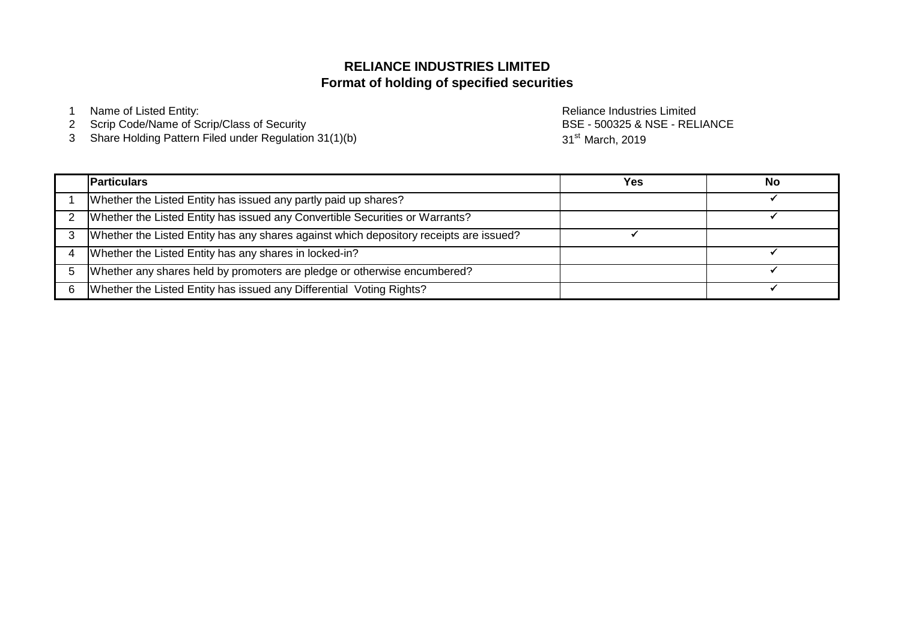# **Format of holding of specified securities RELIANCE INDUSTRIES LIMITED**

1 Name of Listed Entity: **Name of Listed Entity:** All and the United States And the Reliance Industries Limited

- 2 Scrip Code/Name of Scrip/Class of Security
- 3 Share Holding Pattern Filed under Regulation 31(1)(b)

BSE - 500325 & NSE - RELIANCE 31<sup>st</sup> March, 2019

| <b>Particulars</b>                                                                     | Yes | No |
|----------------------------------------------------------------------------------------|-----|----|
| Whether the Listed Entity has issued any partly paid up shares?                        |     |    |
| Whether the Listed Entity has issued any Convertible Securities or Warrants?           |     |    |
| Whether the Listed Entity has any shares against which depository receipts are issued? |     |    |
| Whether the Listed Entity has any shares in locked-in?                                 |     |    |
| Whether any shares held by promoters are pledge or otherwise encumbered?               |     |    |
| Whether the Listed Entity has issued any Differential Voting Rights?                   |     |    |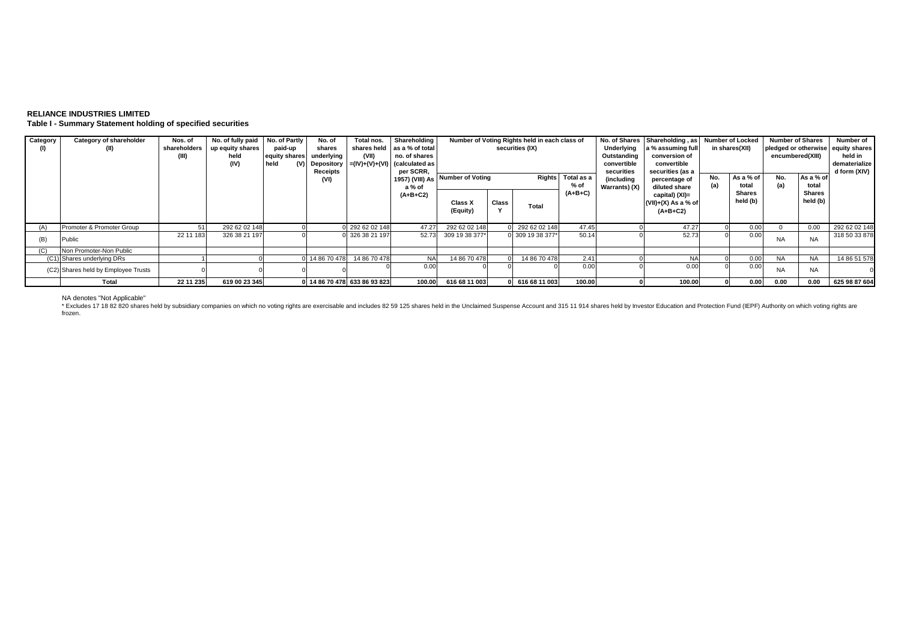## **RELIANCE INDUSTRIES LIMITED Table I - Summary Statement holding of specified securities**

| Category<br>(1) | Category of shareholder<br>(II)     | Nos. of<br>shareholders | No. of fully paid No. of Partly<br>up equity shares<br>held<br>(IV) | paid-up<br>equity shares<br><b>held</b><br>(V) | No. of<br>shares<br>underlying<br>Depository  <br>Receipts | Total nos.<br>(VII)<br>$= (IV)+(V)+(VI)$ (calculated as |                           | Shareholding<br>shares held as a % of total<br>no. of shares<br>per SCRR, |       | Number of Voting Rights held in each class of<br>securities (IX) |           | Underlying<br>Outstanding<br>convertible<br>securities | No. of Shares Shareholding, as Number of Locked<br>a % assuming full<br>conversion of<br>convertible<br>securities (as a |     | in shares(XII)            | <b>Number of Shares</b><br>encumbered(XIII) |                           | Number of<br>pledged or otherwise equity shares<br>held in<br>dematerialize<br>d form (XIV) |
|-----------------|-------------------------------------|-------------------------|---------------------------------------------------------------------|------------------------------------------------|------------------------------------------------------------|---------------------------------------------------------|---------------------------|---------------------------------------------------------------------------|-------|------------------------------------------------------------------|-----------|--------------------------------------------------------|--------------------------------------------------------------------------------------------------------------------------|-----|---------------------------|---------------------------------------------|---------------------------|---------------------------------------------------------------------------------------------|
|                 |                                     |                         |                                                                     |                                                | (VI)                                                       |                                                         | 1957) (VIII) As<br>a % of | Number of Voting                                                          |       | Total as a<br><b>Rights</b><br>% of                              |           | (including<br>Warrants) (X)                            | percentage of<br>diluted share                                                                                           | No. | As a % of<br>total        | No.<br>(a)                                  | As a % of<br>total        |                                                                                             |
|                 |                                     |                         |                                                                     |                                                |                                                            |                                                         | $(A+B+C2)$                | Class X<br>(Equity)                                                       | Class | Total                                                            | $(A+B+C)$ |                                                        | capital) (XI)=<br>(VII)+(X) As a % of<br>$(A+B+C2)$                                                                      |     | <b>Shares</b><br>held (b) |                                             | <b>Shares</b><br>held (b) |                                                                                             |
| (A)             | Promoter & Promoter Group           |                         | 292 62 02 148                                                       |                                                |                                                            | 0 292 62 02 148                                         | 47.27                     | 292 62 02 148                                                             |       | 0 292 62 02 148                                                  | 47.45     |                                                        | 47.27                                                                                                                    |     | 0.00                      | $\Omega$                                    | 0.00                      | 292 62 02 148                                                                               |
| (B)             | Public                              | 22 11 183               | 326 38 21 197                                                       |                                                |                                                            | 0 326 38 21 197                                         |                           | 52.73 309 19 38 377*                                                      |       | 0 309 19 38 377*                                                 | 50.14     |                                                        | 52.73                                                                                                                    |     | 0.00                      | <b>NA</b>                                   | <b>NA</b>                 | 318 50 33 878                                                                               |
| (C)             | Non Promoter-Non Public             |                         |                                                                     |                                                |                                                            |                                                         |                           |                                                                           |       |                                                                  |           |                                                        |                                                                                                                          |     |                           |                                             |                           |                                                                                             |
|                 | (C1) Shares underlying DRs          |                         |                                                                     |                                                | 0 14 86 70 478                                             | 14 86 70 478                                            | <b>NA</b>                 | 14 86 70 478                                                              |       | 14 86 70 478                                                     | 2.41      |                                                        |                                                                                                                          |     | 0.00                      | <b>NA</b>                                   | <b>NA</b>                 | 14 86 51 578                                                                                |
|                 | (C2) Shares held by Employee Trusts |                         |                                                                     |                                                |                                                            |                                                         | 0.00                      |                                                                           |       |                                                                  | 0.00      |                                                        | 0.00                                                                                                                     |     | 0.00                      | <b>NA</b>                                   | <b>NA</b>                 |                                                                                             |
|                 | Total                               | 22 11 235               | 619 00 23 345                                                       |                                                |                                                            | 0 14 86 70 478 633 86 93 823                            |                           | 100.00 616 68 11 003                                                      |       | 0 616 68 11 003                                                  | 100.00    |                                                        | 100.00                                                                                                                   |     | 0.00                      | 0.00                                        | 0.00                      | 625 98 87 604                                                                               |

NA denotes "Not Applicable"<br>\* Excludes 17 18 82 820 shares held by subsidiary companies on which no voting rights are exercisable and includes 82 59 125 shares held in the Unclaimed Suspense Account and 315 11 914 shares h frozen.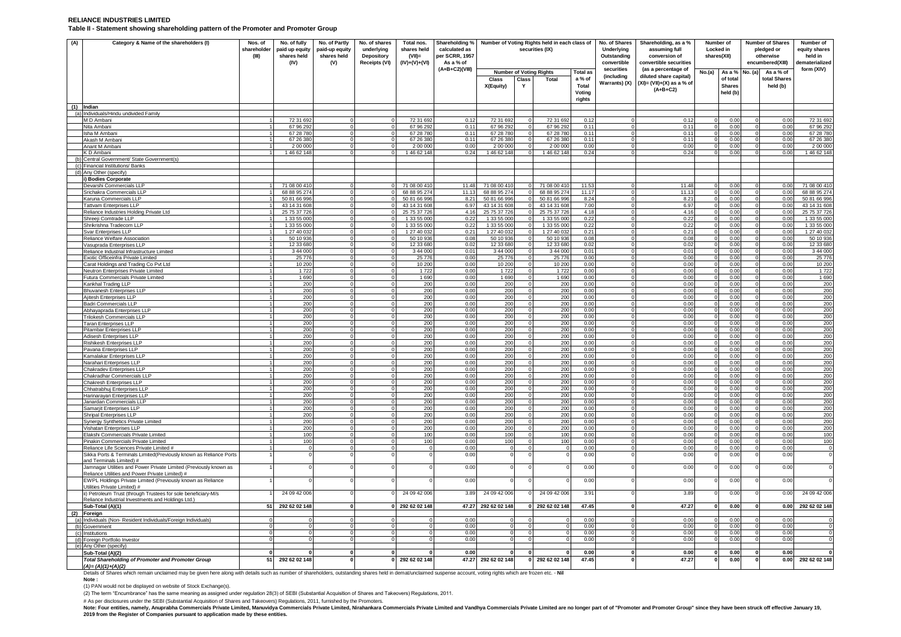### **RELIANCE INDUSTRIES LIMITED Table II - Statement showing shareholding pattern of the Promoter and Promoter Group**

| (A)                   | Category & Name of the shareholders (I)                                                                                                                                                                              | Nos. of<br>shareholder<br>(III) | No. of fully<br>paid up equity<br>shares held<br>(IV) | No. of Partly<br>paid-up equity<br>shares held<br>(V) | No. of shares<br>underlying<br><b>Depository</b><br>Receipts (VI) | Total nos.<br>shares held<br>(VII)<br>$(IV)+(V)+(VI)$ | Shareholding %<br>calculated as<br>per SCRR, 1957<br>As a % of | Number of Voting Rights held in each class of<br>securities (IX) |              |                            |                        | No. of Shares<br><b>Underlying</b><br>Outstanding<br>convertible | Shareholding, as a %<br>assuming full<br>conversion of<br>convertible securities | Locked in<br>shares(XII) | Number of                 | <b>Number of Shares</b><br>pledged or<br>otherwise<br>encumbered(XIII) |                            | Number of<br>equity shares<br>held in<br>lematerialized |
|-----------------------|----------------------------------------------------------------------------------------------------------------------------------------------------------------------------------------------------------------------|---------------------------------|-------------------------------------------------------|-------------------------------------------------------|-------------------------------------------------------------------|-------------------------------------------------------|----------------------------------------------------------------|------------------------------------------------------------------|--------------|----------------------------|------------------------|------------------------------------------------------------------|----------------------------------------------------------------------------------|--------------------------|---------------------------|------------------------------------------------------------------------|----------------------------|---------------------------------------------------------|
|                       |                                                                                                                                                                                                                      |                                 |                                                       |                                                       |                                                                   |                                                       | (A+B+C2)(VIII)                                                 | <b>Number of Voting Rights</b>                                   |              | <b>Total as</b>            | securities             | (as a percentage of                                              | No.(a)                                                                           | As a %                   | No. (a)                   | As a % of                                                              | form (XIV)                 |                                                         |
|                       |                                                                                                                                                                                                                      |                                 |                                                       |                                                       |                                                                   |                                                       |                                                                | Class                                                            | Class        | Total                      | a % of                 | (including<br>Warrants) (X)                                      | diluted share capital)<br>$(XI) = (VII)+(X)$ as a % of                           |                          | of total                  |                                                                        | total Shares               |                                                         |
|                       |                                                                                                                                                                                                                      |                                 |                                                       |                                                       |                                                                   |                                                       |                                                                | X(Equity)                                                        | Y            |                            | <b>Total</b><br>Voting |                                                                  | $(A+B+C2)$                                                                       |                          | <b>Shares</b><br>held (b) |                                                                        | held (b)                   |                                                         |
|                       |                                                                                                                                                                                                                      |                                 |                                                       |                                                       |                                                                   |                                                       |                                                                |                                                                  |              |                            | rights                 |                                                                  |                                                                                  |                          |                           |                                                                        |                            |                                                         |
|                       | $(1)$ Indian<br>(a) Individuals/Hindu undivided Family                                                                                                                                                               |                                 |                                                       |                                                       |                                                                   |                                                       |                                                                |                                                                  |              |                            |                        |                                                                  |                                                                                  |                          |                           |                                                                        |                            |                                                         |
|                       | M D Ambani                                                                                                                                                                                                           |                                 | 72 31 692                                             |                                                       |                                                                   | 72 31 692                                             | 0.12                                                           | 72 31 692                                                        |              | 72 31 692                  | 0.12                   |                                                                  | 0.12                                                                             |                          | 0.00                      |                                                                        | 0.00                       | 72 31 69                                                |
|                       | Nita Ambani                                                                                                                                                                                                          |                                 | 67 96 292                                             |                                                       |                                                                   | 67 96 292                                             | 0.11                                                           | 67 96 292                                                        | $\Omega$     | 67 96 29                   | 0.11                   |                                                                  | 0.11                                                                             |                          | 0.00                      |                                                                        | 0.00                       | 67 96 29                                                |
|                       | Isha M Ambani<br>Akash M Ambani                                                                                                                                                                                      |                                 | 67 28 780<br>67 26 380                                |                                                       |                                                                   | 67 28 780<br>67 26 380                                | 0.11<br>0.11                                                   | 67 28 780<br>67 26 380                                           |              | 67 28 780<br>67 26 380     | 0.11<br>0.11           |                                                                  | 0.11<br>0.11                                                                     |                          | 0.00<br>0.00              |                                                                        | 0.00<br>0.00               | 67 28 78<br>67 26 380                                   |
|                       | Anant M Ambani                                                                                                                                                                                                       |                                 | 2 00 000                                              |                                                       |                                                                   | 2 00 000                                              | 0.00                                                           | 2 00 000                                                         |              | 2 00 000                   | 0.00                   |                                                                  | 0.00                                                                             |                          | 0.00                      |                                                                        | 0.00                       | 2 00 000                                                |
|                       | KD Ambani                                                                                                                                                                                                            |                                 | 146 62 148                                            |                                                       |                                                                   | 1 46 62 148                                           | 0.24                                                           | 146 62 148                                                       |              | 146 62 148                 | 0.24                   |                                                                  | 0.24                                                                             |                          | 0.00                      |                                                                        | 0.00                       | 1 46 62 148                                             |
|                       | Central Government/ State Government(s)                                                                                                                                                                              |                                 |                                                       |                                                       |                                                                   |                                                       |                                                                |                                                                  |              |                            |                        |                                                                  |                                                                                  |                          |                           |                                                                        |                            |                                                         |
| (c)<br>$\overline{d}$ | Financial Institutions/ Banks<br>Any Other (specify)                                                                                                                                                                 |                                 |                                                       |                                                       |                                                                   |                                                       |                                                                |                                                                  |              |                            |                        |                                                                  |                                                                                  |                          |                           |                                                                        |                            |                                                         |
|                       | i) Bodies Corporate                                                                                                                                                                                                  |                                 |                                                       |                                                       |                                                                   |                                                       |                                                                |                                                                  |              |                            |                        |                                                                  |                                                                                  |                          |                           |                                                                        |                            |                                                         |
|                       | Devarshi Commercials LLP                                                                                                                                                                                             |                                 | 71 08 00 410                                          |                                                       |                                                                   | 71 08 00 41                                           | 11.48                                                          | 71 08 00 410                                                     |              | 71 08 00 41                | 11.53                  |                                                                  | 11.48                                                                            |                          | 0.00                      |                                                                        | 0.00                       | 71 08 00 410                                            |
|                       | Srichakra Commercials LLP<br>Karuna Commercials LLP                                                                                                                                                                  |                                 | 68 88 95 274<br>50 81 66 99                           |                                                       |                                                                   | 68 88 95 274<br>50 81 66 99                           | 11.13<br>8.21                                                  | 68 88 95 274<br>50 81 66 996                                     |              | 68 88 95 27<br>50 81 66 99 | 11.17<br>8.24          |                                                                  | 11.13<br>$8.2^{\circ}$                                                           | $\Omega$                 | 0.00<br>0.00              |                                                                        | 0.00<br>0.00               | 68 88 95 27<br>50 81 66 99                              |
|                       | <b>Tattvam Enterprises LLP</b>                                                                                                                                                                                       |                                 | 43 14 31 608                                          |                                                       |                                                                   | 43 14 31 608                                          | 6.97                                                           | 43 14 31 608                                                     |              | 43 14 31 60                | 7.00                   |                                                                  | 6.97                                                                             |                          | 0.00                      |                                                                        | 0.00                       | 43 14 31 608                                            |
|                       | Reliance Industries Holding Private Ltd                                                                                                                                                                              |                                 | 25 75 37 726                                          |                                                       |                                                                   | 25 75 37 726                                          | 4.16                                                           | 25 75 37 726                                                     |              | 25 75 37 72                | 4.18                   |                                                                  | 4.16                                                                             |                          | 0.00                      |                                                                        | 0.00                       | 25 75 37 72                                             |
|                       | Shreeji Comtrade LLP<br>Shrikrishna Tradecom LLP                                                                                                                                                                     |                                 | 1 33 55 000<br>1 33 55 000                            |                                                       |                                                                   | 1 33 55 000<br>1 33 55 000                            | 0.22<br>0.22                                                   | 1 33 55 000<br>1 33 55 000                                       | $\Omega$     | 1 33 55 00<br>1 33 55 00   | 0.22<br>0.22           | $\Omega$                                                         | 0.22<br>0.22                                                                     |                          | 0.00<br>0.00              |                                                                        | 0.00<br>0.00               | 1 33 55 00<br>1 33 55 00                                |
|                       | Svar Enterprises LLP                                                                                                                                                                                                 |                                 | 1 27 40 032                                           |                                                       |                                                                   | 1 27 40 032                                           | 0.21                                                           | 1 27 40 032                                                      |              | 1 27 40 03                 | 0.21                   |                                                                  | 0.21                                                                             |                          | 0.00                      |                                                                        | 0.00                       | 1 27 40 03                                              |
|                       | Reliance Welfare Association                                                                                                                                                                                         |                                 | 50 10 93                                              |                                                       |                                                                   | 50 10 93                                              | 0.08                                                           | 50 10 936                                                        |              | 50 10 93                   | 0.08                   |                                                                  | 0.08                                                                             |                          | 0.00                      |                                                                        | 0.00                       | 50 10 93                                                |
|                       | Vasuprada Enterprises LLP                                                                                                                                                                                            |                                 | 12 33 680                                             |                                                       |                                                                   | 12 33 68                                              | 0.02                                                           | 12 33 680                                                        | $\Omega$     | 12 33 68                   | 0.02                   |                                                                  | 0.02                                                                             |                          | 0.00                      |                                                                        | 0.00                       | 12 33 680                                               |
|                       | Reliance Industrial Infrastructure Limited<br>Exotic Officeinfra Private Limited                                                                                                                                     |                                 | 3 44 000<br>25 776                                    |                                                       |                                                                   | 3 44 000<br>25 776                                    | 0.01<br>0.00                                                   | 3 44 000<br>25 776                                               |              | 3 44 00<br>25 7 7 6        | 0.01<br>0.00           |                                                                  | 0.01<br>0.00                                                                     |                          | 0.00<br>0.00              |                                                                        | 0.00<br>0.00               | 3 44 000<br>25 7 7 6                                    |
|                       | Carat Holdings and Trading Co Pvt Ltd                                                                                                                                                                                |                                 | 10.200                                                | $\Omega$                                              |                                                                   | 10,200                                                | 0.00                                                           | 10 200                                                           | $\Omega$     | 10.200                     | 0.00                   | $\Omega$                                                         | 0.00                                                                             | $\Omega$                 | 0.00                      | $\Omega$                                                               | 0.00                       | 10 200                                                  |
|                       | Neutron Enterprises Private Limited                                                                                                                                                                                  |                                 | 1722                                                  |                                                       |                                                                   | 1722                                                  | 0.00                                                           | 1722                                                             |              | 1722                       | 0.00                   |                                                                  | 0.00                                                                             |                          | 0.00                      |                                                                        | 0.00                       | 1722                                                    |
|                       | Futura Commercials Private Limited                                                                                                                                                                                   |                                 | 1 6 9 0<br>200                                        |                                                       |                                                                   | 1 690<br>200                                          | 0.00<br>0.00                                                   | 1 6 9 0<br>200                                                   | $\Omega$     | 1 6 9 0<br>200             | 0.00<br>0.00           |                                                                  | 0.00<br>0.00                                                                     |                          | 0.00<br>0.00              |                                                                        | 0.00<br>0.00               | 1690<br>200                                             |
|                       | Kankhal Trading LLP<br>Bhuvanesh Enterprises LLP                                                                                                                                                                     |                                 | 200                                                   |                                                       |                                                                   | 200                                                   | 0.00                                                           | 200                                                              |              | 200                        | 0.00                   |                                                                  | 0.00                                                                             |                          | 0.00                      |                                                                        | 0.00                       | 200                                                     |
|                       | Ajitesh Enterprises LLP                                                                                                                                                                                              |                                 | 200                                                   |                                                       |                                                                   | 200                                                   | 0.00                                                           | 200                                                              |              | 200                        | 0.00                   |                                                                  | 0.00                                                                             |                          | 0.00                      |                                                                        | 0.00                       | 200                                                     |
|                       | Badri Commercials LLP                                                                                                                                                                                                |                                 | 200                                                   |                                                       |                                                                   | 200                                                   | 0.00                                                           | 200                                                              |              | 200                        | 0.00                   |                                                                  | 0.00                                                                             |                          | 0.00                      |                                                                        | 0.00                       | 200                                                     |
|                       | Abhayaprada Enterprises LLP<br>Trilokesh Commercials LLP                                                                                                                                                             |                                 | 200<br>200                                            |                                                       |                                                                   | 200<br>200                                            | 0.00<br>0.00                                                   | 200<br>200                                                       |              | 200<br>200                 | 0.00<br>0.01           |                                                                  | 0.00<br>0.00                                                                     |                          | 0.00<br>0.00              |                                                                        | 0.00<br>0.00               | 200<br>200                                              |
|                       | <b>Taran Enterprises LLP</b>                                                                                                                                                                                         |                                 | 200                                                   |                                                       |                                                                   | 200                                                   | 0.00                                                           | 200                                                              |              | 200                        | 0.00                   |                                                                  | 0.00                                                                             |                          | 0.00                      |                                                                        | 0.00                       | 200                                                     |
|                       | Pitambar Enterprises LLP                                                                                                                                                                                             |                                 | 200                                                   |                                                       |                                                                   | 200                                                   | 0.00                                                           | 200                                                              |              | 200                        | 0.00                   |                                                                  | 0.00                                                                             |                          | 0.00                      |                                                                        | 0.00                       | 200                                                     |
|                       | Adisesh Enterprises LLP<br>Rishikesh Enterprises LLP                                                                                                                                                                 |                                 | 200<br>200                                            |                                                       |                                                                   | 200<br>200                                            | 0.00<br>0.00                                                   | 200<br>200                                                       |              | 200<br>200                 | 0.00<br>0.00           |                                                                  | 0.00<br>0.00                                                                     |                          | 0.00<br>0.00              |                                                                        | 0.00<br>0.00               | 200<br>200                                              |
|                       | Pavana Enterprises LLP                                                                                                                                                                                               |                                 | 200                                                   |                                                       |                                                                   | 200                                                   | 0.00                                                           | 200                                                              |              | 200                        | 0.00                   |                                                                  | 0.00                                                                             |                          | 0.00                      |                                                                        | 0.00                       | 200                                                     |
|                       | Kamalakar Enterprises LLF                                                                                                                                                                                            |                                 | 200                                                   |                                                       |                                                                   | 200                                                   | 0.00                                                           | 200                                                              |              | 200                        | 0.00                   |                                                                  | 0.00                                                                             |                          | 0.00                      |                                                                        | 0.00                       | 200                                                     |
|                       | Narahari Enterprises LLP<br>Chakradev Enterprises LLP                                                                                                                                                                |                                 | 200<br>200                                            |                                                       |                                                                   | 200<br>200                                            | 0.00<br>0.00                                                   | 200<br>200                                                       |              | 200<br>200                 | 0.00<br>0.00           |                                                                  | 0.00<br>0.00                                                                     |                          | 0.00<br>0.00              |                                                                        | 0.00<br>0.00               | 200<br>200                                              |
|                       | Chakradhar Commercials LLP                                                                                                                                                                                           |                                 | 200                                                   |                                                       |                                                                   | 200                                                   | 0.00                                                           | 200                                                              | $\Omega$     | 200                        | 0.00                   |                                                                  | 0.00                                                                             |                          | 0.00                      |                                                                        | 0.00                       | 200                                                     |
|                       | Chakresh Enterprises LLP                                                                                                                                                                                             |                                 | 200                                                   |                                                       |                                                                   | 200                                                   | 0.00                                                           | 200                                                              |              | 200                        | 0.00                   |                                                                  | 0.00                                                                             |                          | 0.00                      |                                                                        | 0.00                       | 200                                                     |
|                       | Chhatrabhuj Enterprises LLF                                                                                                                                                                                          |                                 | 200                                                   |                                                       |                                                                   | 200                                                   | 0.00<br>0.00                                                   | 200<br>200                                                       | $\Omega$     | 200                        | 0.00                   |                                                                  | 0.00                                                                             |                          | 0.00                      |                                                                        | 0.00<br>0.00               | 200                                                     |
|                       | Harinarayan Enterprises LLP<br>Janardan Commercials LLP                                                                                                                                                              |                                 | 200<br>200                                            |                                                       |                                                                   | 200<br>200                                            | 0.00                                                           | 200                                                              |              | 200<br>200                 | 0.00<br>0.00           |                                                                  | 0.00<br>0.00                                                                     |                          | 0.00<br>0.00              |                                                                        | 0.00                       | 200<br>200                                              |
|                       | Samarjit Enterprises LLP                                                                                                                                                                                             |                                 | 200                                                   |                                                       |                                                                   | 200                                                   | 0.00                                                           | 200                                                              | $\Omega$     | 200                        | 0.00                   | $\Omega$                                                         | 0.00                                                                             |                          | 0.00                      |                                                                        | 0.00                       | 200                                                     |
|                       | Shripal Enterprises LLP                                                                                                                                                                                              |                                 | 200                                                   |                                                       |                                                                   | 200                                                   | 0.00                                                           | 200                                                              | $\Omega$     | 200                        | 0.00                   |                                                                  | 0.00                                                                             |                          | 0.00                      |                                                                        | 0 <sup>0<sup>c</sup></sup> | 200                                                     |
|                       | Synergy Synthetics Private Limited<br>Vishatan Enterprises LLP                                                                                                                                                       |                                 | 200<br>200                                            |                                                       |                                                                   | 200<br>200                                            | 0.00<br>0.00                                                   | 200<br>200                                                       |              | 200<br>200                 | 0.00<br>0.00           |                                                                  | 0.00<br>0.00                                                                     |                          | 0.00<br>0.00              |                                                                        | 0.00<br>0.00               | 200<br>200                                              |
|                       | <b>Elakshi Commercials Private Limited</b>                                                                                                                                                                           | 1                               | 100                                                   |                                                       |                                                                   | 100                                                   | 0.00                                                           | 100                                                              | $\Omega$     | 100                        | 0.00                   |                                                                  | 0.00                                                                             |                          | 0.00                      |                                                                        | 0.00                       | 100                                                     |
|                       | Pinakin Commercials Private Limited                                                                                                                                                                                  |                                 | 100                                                   |                                                       |                                                                   | 100                                                   | 0.00                                                           | 100                                                              |              | 100                        | 0.00                   |                                                                  | 0.00                                                                             |                          | 0.00                      |                                                                        | 0.00                       | 100                                                     |
|                       | Reliance Life Sciences Private Limited #<br>Sikka Ports & Terminals Limited(Previously known as Reliance Ports                                                                                                       |                                 |                                                       |                                                       |                                                                   |                                                       | 0.00<br>0.00                                                   | $\Omega$                                                         | $\Omega$     |                            | 0.00<br>0.00           |                                                                  | 0.00<br>0.00                                                                     |                          | 0.00<br>0.00              |                                                                        | 0.00<br>0.00               | $\overline{0}$<br>$\Omega$                              |
|                       | and Terminals Limited) #                                                                                                                                                                                             |                                 |                                                       |                                                       |                                                                   |                                                       |                                                                |                                                                  |              |                            |                        |                                                                  |                                                                                  |                          |                           |                                                                        |                            |                                                         |
|                       | Jamnagar Utilities and Power Private Limited (Previously known as<br>Reliance Utilities and Power Private Limited) #                                                                                                 |                                 |                                                       |                                                       |                                                                   |                                                       | 0.00                                                           |                                                                  |              |                            | 0.00                   |                                                                  | 0.00                                                                             |                          | 0.00                      |                                                                        | 0.00                       | $\Omega$                                                |
|                       | EWPL Holdings Private Limited (Previously known as Reliance<br>Utilities Private Limited) #                                                                                                                          |                                 |                                                       |                                                       |                                                                   |                                                       | 0.00                                                           |                                                                  |              |                            | 0.00                   |                                                                  | 0.00                                                                             |                          | 0.00                      |                                                                        | 0.00                       |                                                         |
|                       | ii) Petroleum Trust (through Trustees for sole beneficiary-M/s<br>Reliance Industrial Investments and Holdings Ltd.)                                                                                                 |                                 | 24 09 42 006                                          |                                                       |                                                                   | 24 09 42 006                                          | 3.89                                                           | 24 09 42 006                                                     |              | 24 09 42 00                | 3.91                   |                                                                  | 3.89                                                                             |                          | 0.00                      |                                                                        | 0.00                       | 24 09 42 006                                            |
|                       | Sub-Total (A)(1)                                                                                                                                                                                                     | 51                              | 292 62 02 148                                         |                                                       |                                                                   | 0 292 62 02 148                                       |                                                                | 47.27 292 62 02 148                                              |              | 0 292 62 02 148            | 47.45                  |                                                                  | 47.27                                                                            |                          | 0.00                      |                                                                        | 0.00                       | 292 62 02 148                                           |
|                       | (2) Foreign<br>(a) Individuals (Non-Resident Individuals/Foreign Individuals)                                                                                                                                        |                                 |                                                       |                                                       |                                                                   |                                                       | 0.00                                                           |                                                                  |              |                            | 0.00                   |                                                                  | 0.00                                                                             |                          | 0.00                      |                                                                        | 0.00                       |                                                         |
| (b)                   | Government                                                                                                                                                                                                           |                                 |                                                       |                                                       |                                                                   |                                                       | 0.00                                                           | $\Omega$                                                         | $\Omega$     |                            | 0.00                   |                                                                  | 0.00                                                                             |                          | 0.00                      |                                                                        | 0.00                       |                                                         |
| (c)                   | Institutions                                                                                                                                                                                                         |                                 |                                                       |                                                       |                                                                   |                                                       | 0.00                                                           |                                                                  |              |                            | 0.00                   |                                                                  | 0.00                                                                             |                          | 0.00                      |                                                                        | 0.00                       |                                                         |
| (e)                   | (d) Foreign Portfolio Investor<br>Any Other (specify)                                                                                                                                                                |                                 |                                                       |                                                       |                                                                   |                                                       | 0.00                                                           |                                                                  |              |                            | 0.00                   |                                                                  | 0.00                                                                             |                          | 0.00                      |                                                                        | 0.00                       |                                                         |
|                       | Sub-Total (A)(2)                                                                                                                                                                                                     |                                 |                                                       |                                                       |                                                                   |                                                       | 0.00                                                           |                                                                  |              |                            | 0.00                   |                                                                  | 0.00                                                                             |                          | 0.00                      |                                                                        | 0.00                       |                                                         |
|                       | <b>Total Shareholding of Promoter and Promoter Group</b><br>$(A)=(A)(1)+(A)(2)$                                                                                                                                      | 51                              | 292 62 02 148                                         |                                                       |                                                                   | 292 62 02 148                                         |                                                                | 47.27 292 62 02 148                                              | $\mathbf{o}$ | 292 62 02 148              | 47.45                  |                                                                  | 47.27                                                                            |                          | 0.00                      |                                                                        | 0.00                       | 292 62 02 148                                           |
|                       | Details of Shares which remain unclaimed may be given here along with details such as number of shareholders, outstanding shares held in demat/unclaimed suspense account, voting rights which are frozen etc. - Nil |                                 |                                                       |                                                       |                                                                   |                                                       |                                                                |                                                                  |              |                            |                        |                                                                  |                                                                                  |                          |                           |                                                                        |                            |                                                         |

**Note :** 

(1) PAN would not be displayed on website of Stock Exchange(s).

(2) The term "Encumbrance" has the same meaning as assigned under regulation 28(3) of SEBI (Substantial Acquisition of Shares and Takeovers) Regulations, 2011.

# As per disclosures under the SEBI (Substantial Acquisition of Shares and Takeovers) Regulations, 2011, furnished by the Promoters.<br>Note: Four entities, namely, Anuprabha Commercials Private Limited, Manuvidya Commercials **2019 from the Register of Companies pursuant to application made by these entities.**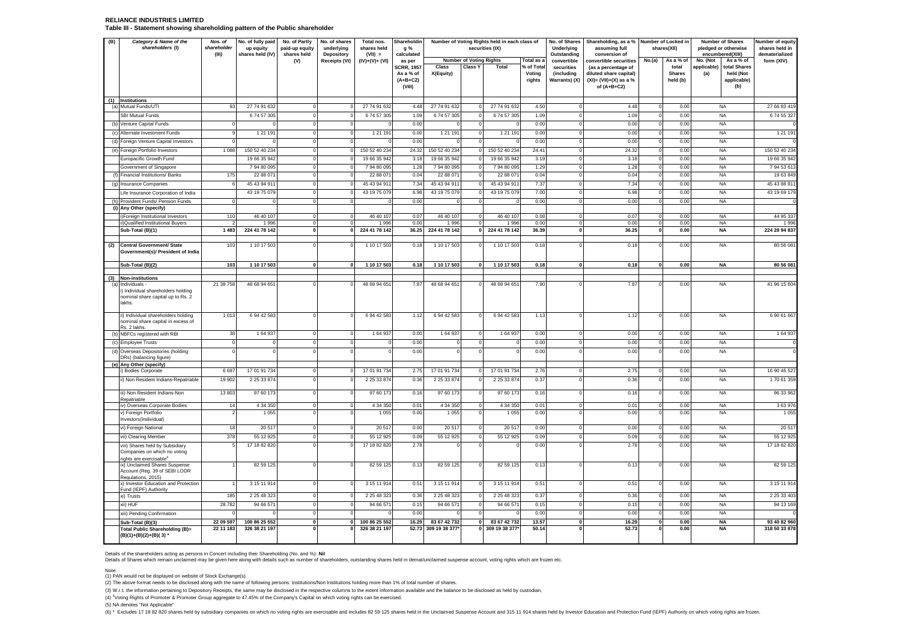#### **RELIANCE INDUSTRIES LIMITED Table III - Statement showing shareholding pattern of the Public shareholder**

| (B) | Category & Name of the<br>shareholders (I)                                                         | Nos. of<br>shareholder<br>(III) | No. of fully paid<br>up equity<br>shares held (IV) | No. of Partly<br>paid-up equity<br>shares held | No. of shares<br>underlying    | Total nos.<br>shares held<br>$(VII) =$ | Shareholdin<br>a %                                     |                                     |                                | Number of Voting Rights held in each class of<br>securities (IX) |                                | No. of Shares<br>Underlying<br>Outstanding | Shareholding, as a % Number of Locked in<br>assuming full<br>conversion of                  |                              | shares(XII)                        |                    | Number of Shares<br>pledged or otherwise        | Number of equity<br>shares held in<br>dematerialized |  |
|-----|----------------------------------------------------------------------------------------------------|---------------------------------|----------------------------------------------------|------------------------------------------------|--------------------------------|----------------------------------------|--------------------------------------------------------|-------------------------------------|--------------------------------|------------------------------------------------------------------|--------------------------------|--------------------------------------------|---------------------------------------------------------------------------------------------|------------------------------|------------------------------------|--------------------|-------------------------------------------------|------------------------------------------------------|--|
|     |                                                                                                    |                                 |                                                    | (V)                                            | Depository<br>Receipts (VI)    | $(IV)+(V)+(V)$                         | calculated<br>as per                                   |                                     | <b>Number of Voting Rights</b> |                                                                  | Total as a                     | convertible                                | convertible securities                                                                      | No.(a)                       | As a % of                          | No. (Not           | encumbered(XIII)<br>As a % of                   | form (XIV)                                           |  |
|     |                                                                                                    |                                 |                                                    |                                                |                                |                                        | <b>SCRR, 1957</b><br>As a % of<br>$(A+B+C2)$<br>(VIII) | Class<br>X(Equity)                  | Class Y                        | Total                                                            | % of Total<br>Voting<br>rights | securities<br>(including<br>Warrants) (X)  | (as a percentage of<br>diluted share capital)<br>$(XI) = (VII)+(X)$ as a %<br>of $(A+B+C2)$ |                              | total<br><b>Shares</b><br>held (b) | applicable)<br>(a) | total Shares<br>held (Not<br>applicable)<br>(b) |                                                      |  |
|     | (1) Institutions<br>(a) Mutual Funds/UTI                                                           | 93                              | 27 74 91 632                                       | $\Omega$                                       | $\Omega$                       | 27 74 91 632                           | 4.48                                                   | 27 74 91 632                        |                                | 27 74 91 632                                                     | 4.50                           | $\mathbf 0$                                | 4.48                                                                                        | $\Omega$                     | 0.00                               |                    | <b>NA</b>                                       | 27 66 83 419                                         |  |
|     | <b>SBI Mutual Funds</b>                                                                            |                                 | 674 57 305                                         | $\Omega$                                       | $\Omega$                       | 674 57 305                             | 1.09                                                   | 674 57 305                          |                                | 674 57 305                                                       | 1.09                           | $\mathbf 0$                                | 1.09                                                                                        | $^{\circ}$                   | 0.00                               |                    | <b>NA</b>                                       | 674 55 327                                           |  |
|     | (b) Venture Capital Funds                                                                          |                                 |                                                    | $^{\circ}$                                     | $\Omega$                       |                                        | 0.00                                                   |                                     |                                |                                                                  | 0.00                           | $\mathbf 0$                                | 0.00                                                                                        | $\Omega$                     | 0.00                               |                    | <b>NA</b>                                       |                                                      |  |
|     | (c) Alternate Investment Funds                                                                     |                                 | 1 21 1 91                                          | $\Omega$                                       | $\Omega$                       | 1 21 1 91                              | 0.00                                                   | 1 21 1 91                           | $\Omega$                       | 1 21 1 91                                                        | 0.00                           | $\Omega$                                   | 0.00                                                                                        | $\Omega$                     | 0.00                               |                    | <b>NA</b>                                       | 1 21 1 91                                            |  |
|     | (d) Foreign Venture Capital Investors                                                              | $\Omega$                        |                                                    | $\Omega$                                       | $\overline{0}$                 |                                        | 0.00                                                   |                                     |                                |                                                                  | 0.00                           | $\Omega$                                   | 0.00                                                                                        | $\Omega$                     | 0.00                               |                    | <b>NA</b>                                       |                                                      |  |
|     | (e) Foreign Portfolio Investors                                                                    | 1 0 8 8                         | 150 52 40 234                                      | $\Omega$                                       | $\Omega$                       | 150 52 40 234                          | 24.32                                                  | 150 52 40 234                       |                                | 150 52 40 234                                                    | 24.41                          | $\mathbf 0$                                | 24.32                                                                                       | $\Omega$                     | 0.00                               |                    | <b>NA</b>                                       | 150 52 40 234                                        |  |
|     | Europacific Growth Fund                                                                            |                                 | 19 66 35 942                                       | $^{\circ}$                                     | $\overline{0}$                 | 19 66 35 942                           | 3.18                                                   | 19 66 35 942                        |                                | 19 66 35 942                                                     | 3.19                           | $\circ$                                    | 3.18                                                                                        | $\mathbf 0$                  | 0.00                               |                    | <b>NA</b>                                       | 19 66 35 942                                         |  |
|     | Government of Singapore                                                                            |                                 | 7 94 80 095                                        | $\Omega$                                       | $\overline{0}$                 | 79480095                               | 1.28                                                   | 794 80 095                          |                                | 7 94 80 095                                                      | 1.29                           | $\overline{0}$                             | 1.28                                                                                        | $\Omega$                     | 0.00                               |                    | <b>NA</b>                                       | 7 94 53 61                                           |  |
|     | (f) Financial Institutions/ Banks                                                                  | 175                             | 22 88 071                                          | $\mathbf 0$                                    | $\overline{0}$                 | 22 88 071                              | 0.04                                                   | 22 88 07                            |                                | 22 88 071                                                        | 0.04                           | $\mathbf 0$                                | 0.04                                                                                        | $\mathbf 0$                  | 0.00                               |                    | <b>NA</b>                                       | 19 63 849                                            |  |
|     | (g) Insurance Companies                                                                            |                                 | 45 43 94 911                                       | $\Omega$                                       | $\Omega$                       | 45 43 94 911                           | 7.34                                                   | 45 43 94 911                        |                                | 45 43 94 911                                                     | 7.37                           | $\overline{0}$                             | 7.34                                                                                        | $\Omega$                     | 0.00                               |                    | <b>NA</b>                                       | 45 43 88 81                                          |  |
|     | Life Insurance Corporation of India                                                                |                                 | 43 19 75 079                                       | $\Omega$                                       | $\Omega$                       | 43 19 75 079                           | 6.98                                                   | 43 19 75 079                        | $\Omega$                       | 43 19 75 079                                                     | 7.00                           | $\circ$                                    | 6.98                                                                                        | $^{\circ}$                   | 0.00                               |                    | <b>NA</b>                                       | 43 19 69 179                                         |  |
|     | (h) Provident Funds/ Pension Funds                                                                 | $\Omega$                        | $\Omega$                                           | $\Omega$                                       | $\Omega$                       |                                        | 0.00                                                   | $\Omega$                            |                                | $\Omega$                                                         | 0.00                           | $\overline{0}$                             | 0.00                                                                                        | $\mathbf 0$                  | 0.00                               |                    | <b>NA</b>                                       |                                                      |  |
|     | (i) Any Other (specify)                                                                            |                                 |                                                    |                                                |                                |                                        |                                                        |                                     |                                |                                                                  |                                |                                            |                                                                                             |                              |                                    |                    |                                                 |                                                      |  |
|     | i)Foreign Institutional Investors                                                                  | 110                             | 46 40 107                                          | $^{\circ}$                                     | $\Omega$                       | 46 40 107                              | 0.07                                                   | 46 40 107                           | $\Omega$                       | 46 40 107                                                        | 0.08                           | $\Omega$                                   | 0.07                                                                                        | $\Omega$                     | 0.00                               |                    | <b>NA</b>                                       | 44 95 337                                            |  |
|     | i)Qualified Institutional Buyers<br>Sub-Total (B)(1)                                               | $\mathcal{P}$<br>1 4 8 3        | 1996<br>224 41 78 142                              | $\Omega$<br>$\mathbf{0}$                       | $\overline{0}$<br>$\mathbf{0}$ | 1996<br>224 41 78 142                  | 0.00<br>36.25                                          | 1996<br>224 41 78 142               | $\Omega$<br>$\Omega$           | 1996<br>224 41 78 142                                            | 0.00<br>36.39                  | $\overline{0}$<br>$\Omega$                 | 0.00<br>36.25                                                                               | $^{\circ}$<br>$\mathbf{0}$   | 0.00<br>0.00                       |                    | <b>NA</b><br><b>NA</b>                          | 1 9 9 6<br>224 28 94 837                             |  |
|     |                                                                                                    |                                 |                                                    |                                                |                                |                                        |                                                        |                                     |                                |                                                                  |                                |                                            |                                                                                             |                              |                                    |                    |                                                 |                                                      |  |
| (2) | <b>Central Government/ State</b><br>Government(s)/ President of India                              | 103                             | 1 10 17 503                                        | $\Omega$                                       | $\Omega$                       | 1 10 17 503                            | 0.18                                                   | 1 10 17 503                         | $\Omega$                       | 1 10 17 503                                                      | 0.18                           | $\Omega$                                   | 0.18                                                                                        | $\Omega$                     | 0.00                               |                    | <b>NA</b>                                       | 80 56 08                                             |  |
|     | Sub-Total (B)(2)                                                                                   | 103                             | 1 10 17 503                                        | $\pmb{\mathsf{o}}$                             | $\pmb{0}$                      | 1 10 17 503                            | 0.18                                                   | 1 10 17 503                         | $\Omega$                       | 1 10 17 503                                                      | 0.18                           | $\mathbf{0}$                               | 0.18                                                                                        | $\mathbf{0}$                 | 0.00                               |                    | <b>NA</b>                                       | 80 56 081                                            |  |
| (3) | <b>Non-institutions</b>                                                                            |                                 |                                                    |                                                |                                |                                        |                                                        |                                     |                                |                                                                  |                                |                                            |                                                                                             |                              |                                    |                    |                                                 |                                                      |  |
| (a) | Individuals -<br>i) Individual shareholders holding<br>nominal share capital up to Rs. 2<br>lakhs. | 21 38 758                       | 48 68 94 651                                       | $\Omega$                                       | $\Omega$                       | 48 68 94 651                           | 7.87                                                   | 48 68 94 651                        |                                | 48 68 94 651                                                     | 7.90                           |                                            | 7.87                                                                                        | $\Omega$                     | 0.00                               |                    | <b>NA</b>                                       | 41 96 15 604                                         |  |
|     | ii) Individual shareholders holding<br>nominal share capital in excess of<br>Rs. 2 lakhs.          | 1013                            | 6 94 42 583                                        | $\Omega$                                       | $\Omega$                       | 69442583                               | 1.12                                                   | 6 94 42 583                         | $\Omega$                       | 6 94 42 583                                                      | 1.13                           | $\Omega$                                   | 1.12                                                                                        | $\Omega$                     | 0.00                               |                    | <b>NA</b>                                       | 6 90 61 667                                          |  |
|     | (b) NBFCs registered with RBI                                                                      | 38                              | 1 64 937<br>$\Omega$                               | $\Omega$                                       | $\Omega$<br>$\Omega$           | 1 64 937                               | 0.00                                                   | 1 64 937                            | $\Omega$<br>$\Omega$           | 1 64 937                                                         | 0.00                           | $\mathbf 0$<br>$\overline{0}$              | 0.00                                                                                        | $\Omega$                     | 0.00                               |                    | <b>NA</b>                                       | 1 64 937                                             |  |
|     | (c) Employee Trusts                                                                                |                                 |                                                    | $\mathbf 0$<br>$\Omega$                        | $\Omega$                       |                                        | 0.00<br>0.00                                           | $\mathbf 0$<br>$\Omega$             |                                | $\Omega$                                                         | 0.00<br>0.00                   |                                            | 0.00<br>0.00                                                                                | $\circ$                      | 0.00<br>0.00                       |                    | <b>NA</b><br><b>NA</b>                          |                                                      |  |
|     | (d) Overseas Depositories (holding<br>DRs) (balancing figure)                                      |                                 |                                                    |                                                |                                |                                        |                                                        |                                     |                                |                                                                  |                                |                                            |                                                                                             |                              |                                    |                    |                                                 |                                                      |  |
|     | (e) Any Other (specify)                                                                            |                                 |                                                    |                                                |                                |                                        |                                                        |                                     |                                |                                                                  |                                |                                            |                                                                                             |                              |                                    |                    |                                                 |                                                      |  |
|     | ) Bodies Corporate                                                                                 | 6 6 9                           | 17 01 91 734                                       | $^{\circ}$                                     | $\Omega$                       | 17 01 91 734                           | 2.75                                                   | 17 01 91 734                        |                                | 17 01 91 734                                                     | 2.76                           | $\mathbf 0$                                | 2.75                                                                                        | $\circ$                      | 0.00                               |                    | <b>NA</b>                                       | 16 90 46 527                                         |  |
|     | i) Non Resident Indians-Repatriable                                                                | 19 902                          | 2 25 33 874                                        | $\Omega$                                       |                                | 2 2 5 3 3 8 7 4                        | 0.36                                                   | 2 2 5 3 3 8 7 4                     |                                | 2 25 33 874                                                      | 0.37                           |                                            | 0.36                                                                                        |                              | 0.00                               |                    | <b>NA</b>                                       | 170 61 359                                           |  |
|     | iii) Non Resident Indians-Non<br>Repatriable                                                       | 13803                           | 97 60 173                                          | $\Omega$                                       | $\Omega$                       | 97 60 173                              | 0.16                                                   | 97 60 173                           | $\Omega$                       | 97 60 173                                                        | 0.16                           | $\Omega$                                   | 0.16                                                                                        | $^{\circ}$                   | 0.00                               |                    | <b>NA</b>                                       | 96 33 962                                            |  |
|     | iv) Overseas Corporate Bodies                                                                      | 14<br>2                         | 4 34 350<br>1 0 5 5                                | $^{\circ}$<br>$\Omega$                         | $\overline{0}$<br>$\Omega$     | 4 34 350<br>1 0 5 5                    | 0.01<br>0.00                                           | 4 34 350<br>1 0 5 5                 | $^{\circ}$<br>$\Omega$         | 4 34 350<br>1 0 5 5                                              | 0.01<br>0.00                   | $\overline{0}$<br>$\Omega$                 | 0.01<br>0.00                                                                                | 0<br>$\Omega$                | 0.00<br>0.00                       |                    | <b>NA</b><br><b>NA</b>                          | 3 63 976<br>1 0 5 5                                  |  |
|     | v) Foreign Portfolio<br>Investors(Individual)                                                      |                                 |                                                    |                                                |                                |                                        |                                                        |                                     |                                |                                                                  |                                |                                            |                                                                                             |                              |                                    |                    |                                                 |                                                      |  |
|     | vi) Foreign National                                                                               | 18                              | 20 517                                             | $\Omega$                                       | $\Omega$                       | 20 517                                 | 0.00                                                   | 20 517                              | $\Omega$                       | 20 517                                                           | 0.00                           | $^{\circ}$                                 | 0.00                                                                                        | $\Omega$                     | 0.00                               |                    | <b>NA</b>                                       | 20 517                                               |  |
|     | vii) Clearing Member                                                                               | 378                             | 55 12 925                                          | $\mathbf 0$                                    | $\overline{0}$                 | 55 12 925                              | 0.09                                                   | 55 12 925                           | $^{\circ}$                     | 55 12 925                                                        | 0.09                           | $\mathbf 0$                                | 0.09                                                                                        | $^{\circ}$                   | 0.00                               |                    | <b>NA</b>                                       | 55 12 925                                            |  |
|     | viii) Shares held by Subsidiary                                                                    |                                 | 17 18 82 820                                       | $\Omega$                                       | $\Omega$                       | 17 18 82 820                           | 2.78                                                   |                                     | $\Omega$                       |                                                                  | 0.00                           |                                            | 2.78                                                                                        | $\Omega$                     | 0.00                               |                    | <b>NA</b>                                       | 17 18 82 820                                         |  |
|     | Companies on which no voting<br>rights are exercisable <sup>4</sup>                                |                                 |                                                    |                                                |                                |                                        |                                                        |                                     |                                |                                                                  |                                |                                            |                                                                                             |                              |                                    |                    |                                                 |                                                      |  |
|     | ix) Unclaimed Shares Suspense<br>Account (Reg. 39 of SEBI LODR<br>Regulations, 2015)               |                                 | 82 59 125<br>3 15 11 914                           | $\Omega$<br>$\Omega$                           | $\Omega$<br>$\Omega$           | 82 59 125<br>3 15 11 914               | 0.13<br>0.51                                           | 82 59 125<br>3 15 11 914            | $\Omega$<br>$\Omega$           | 82 59 125<br>3 15 11 914                                         | 0.13<br>0.51                   | $\Omega$<br>$\Omega$                       | 0.13<br>0.51                                                                                | $\Omega$<br>$\Omega$         | 0.00<br>0.00                       |                    | <b>NA</b><br><b>NA</b>                          | 82 59 125<br>3 15 11 914                             |  |
|     | x) Investor Education and Protection<br>Fund (IEPF) Authority                                      |                                 |                                                    |                                                |                                |                                        |                                                        |                                     |                                |                                                                  |                                |                                            |                                                                                             |                              |                                    |                    |                                                 |                                                      |  |
|     | xi) Trusts                                                                                         | 185                             | 2 25 48 323                                        | $^{\circ}$                                     | $\overline{0}$                 | 2 25 48 323                            | 0.36                                                   | 2 25 48 323                         |                                | 2 25 48 323                                                      | 0.37                           | $\overline{0}$                             | 0.36                                                                                        | $^{\circ}$                   | 0.00                               |                    | <b>NA</b>                                       | 2 25 33 403                                          |  |
|     | xii) HUF                                                                                           | 28782                           | 94 66 571                                          | $\mathbf 0$                                    | $\overline{0}$                 | 94 66 571                              | 0.15                                                   | 94 66 571                           | $\mathbf 0$                    | 94 66 571                                                        | 0.15                           | $\mathbf 0$                                | 0.15                                                                                        | $\mathbf 0$                  | 0.00                               |                    | <b>NA</b>                                       | 94 13 169                                            |  |
|     | xiii) Pending Confirmation                                                                         |                                 |                                                    | $^{\circ}$                                     | $\overline{0}$                 |                                        | 0.00                                                   |                                     |                                |                                                                  | 0.00                           | $\overline{0}$                             | 0.00                                                                                        | $\mathbf 0$                  | 0.00                               |                    | <b>NA</b>                                       |                                                      |  |
|     | Sub-Total (B)(3)<br><b>Total Public Shareholding (B)=</b>                                          | 22 09 597<br>22 11 183          | 100 86 25 552<br>326 38 21 197                     | $\mathbf{0}$<br>$\Omega$                       | $\Omega$<br>$\Omega$           | 100 86 25 552<br>326 38 21 197         | 16.29                                                  | 83 67 42 732<br>52.73 309 19 38 377 | $\mathbf{0}$                   | 83 67 42 732<br>0 309 19 38 377*                                 | 13.57<br>50.14                 | $\mathbf{0}$                               | 16.29<br>52.73                                                                              | $\mathbf{0}$<br>$\mathbf{0}$ | 0.00<br>0.00                       |                    | <b>NA</b><br><b>NA</b>                          | 93 40 82 960<br>318 50 33 878                        |  |
|     | (B)(1)+(B)(2)+(B)(3) *                                                                             |                                 |                                                    |                                                |                                |                                        |                                                        |                                     |                                |                                                                  |                                |                                            |                                                                                             |                              |                                    |                    |                                                 |                                                      |  |

Details of the shareholders acting as persons in Concert including their Shareholding (No. and %): Nil<br>Details of Shares which remain unclaimed may be given here along with details such as number of shareholders, outstandi

Note:

(1) PAN would not be displayed on website of Stock Exchange(s).<br>(2) The above format needs to be disclosed along with the name of following persons: Institutions/Non Institutions holding more than 1% of total number of sha

(3) W.r.t. the information pertaining to Depository Receipts, the same may be disclosed in the respective columns to the extent information available and the balance to be disclosed as held by custodian,

(4) <sup>4</sup>Voting Rights of Promoter & Promoter Group aggregate to 47.45% of the Company's Capital on which voting rights can be exercised.

(5) NA denotes "Not Applicable"

(6) \* Excludes 17 18 82 820 shares held by subsidiary companies on which no voting rights are exercisable and includes 82 59 125 shares held in the Unclaimed Suspense Account and 315 11 914 shares held by Investor Educatio